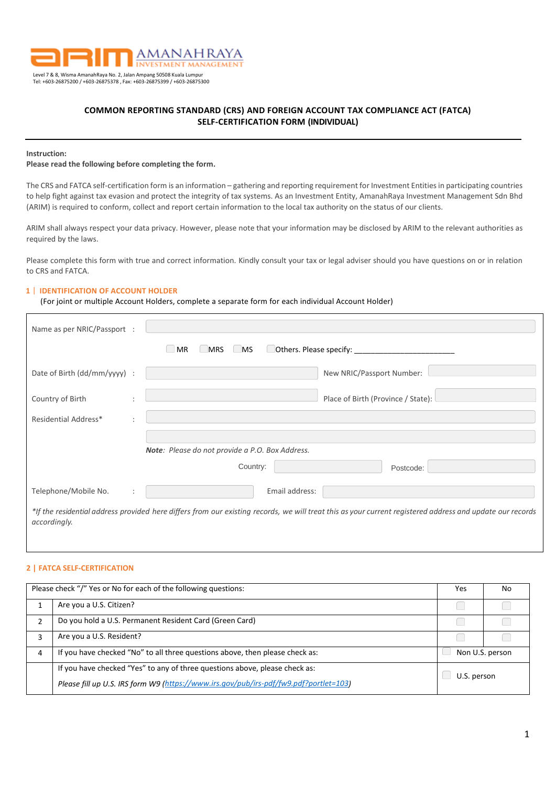

# **COMMON REPORTING STANDARD (CRS) AND FOREIGN ACCOUNT TAX COMPLIANCE ACT (FATCA) SELF-CERTIFICATION FORM (INDIVIDUAL)**

#### **Instruction:**

#### **Please read the following before completing the form.**

The CRS and FATCA self-certification form is an information – gathering and reporting requirement for Investment Entities in participating countries to help fight against tax evasion and protect the integrity of tax systems. As an Investment Entity, AmanahRaya Investment Management Sdn Bhd (ARIM) is required to conform, collect and report certain information to the local tax authority on the status of our clients.

ARIM shall always respect your data privacy. However, please note that your information may be disclosed by ARIM to the relevant authorities as required by the laws.

Please complete this form with true and correct information. Kindly consult your tax or legal adviser should you have questions on or in relation to CRS and FATCA.

## **1** | **IDENTIFICATION OF ACCOUNT HOLDER**

(For joint or multiple Account Holders, complete a separate form for each individual Account Holder)

| Name as per NRIC/Passport :  |                      |                                                                                                                                                           |
|------------------------------|----------------------|-----------------------------------------------------------------------------------------------------------------------------------------------------------|
|                              |                      | MR.<br><b>MRS</b><br>$\Box$ MS<br>Others. Please specify:                                                                                                 |
| Date of Birth (dd/mm/yyyy) : |                      | New NRIC/Passport Number:                                                                                                                                 |
| Country of Birth             | $\bullet$            | Place of Birth (Province / State):                                                                                                                        |
| Residential Address*         | $\ddot{\phantom{a}}$ |                                                                                                                                                           |
|                              |                      |                                                                                                                                                           |
|                              |                      | Note: Please do not provide a P.O. Box Address.                                                                                                           |
|                              |                      | Country:<br>Postcode:                                                                                                                                     |
| Telephone/Mobile No.         | $\ddot{\cdot}$       | Email address:                                                                                                                                            |
| accordingly.                 |                      | *If the residential address provided here differs from our existing records, we will treat this as your current registered address and update our records |

## **2 | FATCA SELF-CERTIFICATION**

| Please check "/" Yes or No for each of the following questions: |                                                                                       |                 | No |  |
|-----------------------------------------------------------------|---------------------------------------------------------------------------------------|-----------------|----|--|
|                                                                 | Are you a U.S. Citizen?                                                               |                 |    |  |
|                                                                 | Do you hold a U.S. Permanent Resident Card (Green Card)                               |                 |    |  |
| 3                                                               | Are you a U.S. Resident?                                                              |                 |    |  |
| 4                                                               | If you have checked "No" to all three questions above, then please check as:          | Non U.S. person |    |  |
|                                                                 | If you have checked "Yes" to any of three questions above, please check as:           | U.S. person     |    |  |
|                                                                 | Please fill up U.S. IRS form W9 (https://www.irs.gov/pub/irs-pdf/fw9.pdf?portlet=103) |                 |    |  |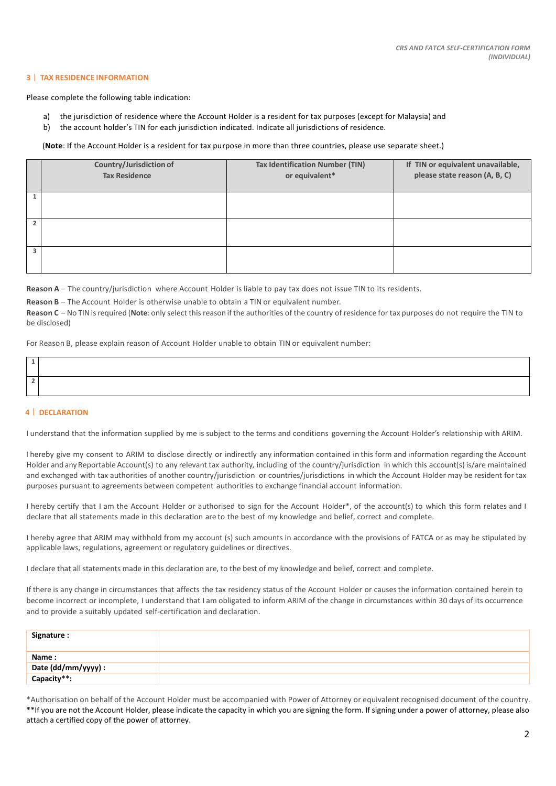# **3** | **TAX RESIDENCE INFORMATION**

Please complete the following table indication:

- a) the jurisdiction of residence where the Account Holder is a resident for tax purposes (except for Malaysia) and
- b) the account holder's TIN for each jurisdiction indicated. Indicate all jurisdictions of residence.

(**Note**: If the Account Holder is a resident for tax purpose in more than three countries, please use separate sheet.)

| Country/Jurisdiction of<br><b>Tax Residence</b> | <b>Tax Identification Number (TIN)</b><br>or equivalent* | If TIN or equivalent unavailable,<br>please state reason (A, B, C) |
|-------------------------------------------------|----------------------------------------------------------|--------------------------------------------------------------------|
|                                                 |                                                          |                                                                    |
|                                                 |                                                          |                                                                    |
|                                                 |                                                          |                                                                    |

**Reason A** – The country/jurisdiction where Account Holder is liable to pay tax does not issue TIN to its residents.

**Reason B** – The Account Holder is otherwise unable to obtain a TIN or equivalent number.

**Reason C** – No TIN isrequired (**Note**: only select this reason if the authorities of the country of residence for tax purposes do not require the TIN to be disclosed)

For Reason B, please explain reason of Account Holder unable to obtain TIN or equivalent number:

## **4** | **DECLARATION**

I understand that the information supplied by me is subject to the terms and conditions governing the Account Holder's relationship with ARIM.

I hereby give my consent to ARIM to disclose directly or indirectly any information contained in this form and information regarding the Account Holder and any Reportable Account(s) to any relevant tax authority, including of the country/jurisdiction in which this account(s) is/are maintained and exchanged with tax authorities of another country/jurisdiction or countries/jurisdictions in which the Account Holder may be resident for tax purposes pursuant to agreements between competent authorities to exchange financial account information.

I hereby certify that I am the Account Holder or authorised to sign for the Account Holder\*, of the account(s) to which this form relates and I declare that allstatements made in this declaration are to the best of my knowledge and belief, correct and complete.

I hereby agree that ARIM may withhold from my account (s) such amounts in accordance with the provisions of FATCA or as may be stipulated by applicable laws, regulations, agreement or regulatory guidelines or directives.

I declare that all statements made in this declaration are, to the best of my knowledge and belief, correct and complete.

If there is any change in circumstances that affects the tax residency status of the Account Holder or causesthe information contained herein to become incorrect or incomplete, I understand that I am obligated to inform ARIM of the change in circumstances within 30 days of its occurrence and to provide a suitably updated self-certification and declaration.

| Signature :                        |  |
|------------------------------------|--|
| Name:                              |  |
| Date (dd/mm/yyyy) :<br>Capacity**: |  |
|                                    |  |

\*Authorisation on behalf of the Account Holder must be accompanied with Power of Attorney or equivalent recognised document of the country. \*\*If you are not the Account Holder, please indicate the capacity in which you are signing the form. If signing under a power of attorney, please also attach a certified copy of the power of attorney.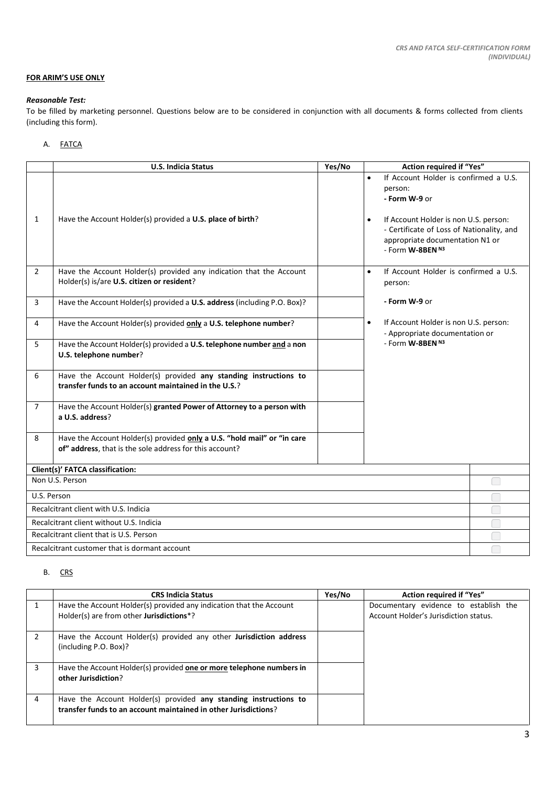# **FOR ARIM'S USE ONLY**

# *Reasonable Test:*

To be filled by marketing personnel. Questions below are to be considered in conjunction with all documents & forms collected from clients (including this form).

# A. FATCA

|                                               | <b>U.S. Indicia Status</b>                                                                                                         | Yes/No | Action required if "Yes"                                                                                                                                                                                       |  |
|-----------------------------------------------|------------------------------------------------------------------------------------------------------------------------------------|--------|----------------------------------------------------------------------------------------------------------------------------------------------------------------------------------------------------------------|--|
| 1                                             | Have the Account Holder(s) provided a U.S. place of birth?                                                                         |        | If Account Holder is confirmed a U.S.<br>person:<br>- Form W-9 or<br>If Account Holder is non U.S. person:<br>- Certificate of Loss of Nationality, and<br>appropriate documentation N1 or<br>- Form W-8BEN N3 |  |
| $\overline{2}$                                | Have the Account Holder(s) provided any indication that the Account<br>Holder(s) is/are U.S. citizen or resident?                  |        | If Account Holder is confirmed a U.S.<br>$\bullet$<br>person:                                                                                                                                                  |  |
| 3                                             | Have the Account Holder(s) provided a U.S. address (including P.O. Box)?                                                           |        | - Form W-9 or                                                                                                                                                                                                  |  |
| 4                                             | Have the Account Holder(s) provided only a U.S. telephone number?                                                                  |        | If Account Holder is non U.S. person:<br>$\bullet$<br>- Appropriate documentation or                                                                                                                           |  |
| 5                                             | Have the Account Holder(s) provided a U.S. telephone number and a non<br>U.S. telephone number?                                    |        | - Form W-8BEN N3                                                                                                                                                                                               |  |
| 6                                             | Have the Account Holder(s) provided any standing instructions to<br>transfer funds to an account maintained in the U.S.?           |        |                                                                                                                                                                                                                |  |
| $\overline{7}$                                | Have the Account Holder(s) granted Power of Attorney to a person with<br>a U.S. address?                                           |        |                                                                                                                                                                                                                |  |
| 8                                             | Have the Account Holder(s) provided only a U.S. "hold mail" or "in care<br>of" address, that is the sole address for this account? |        |                                                                                                                                                                                                                |  |
| Client(s)' FATCA classification:              |                                                                                                                                    |        |                                                                                                                                                                                                                |  |
| Non U.S. Person                               |                                                                                                                                    |        |                                                                                                                                                                                                                |  |
| U.S. Person                                   |                                                                                                                                    |        |                                                                                                                                                                                                                |  |
| Recalcitrant client with U.S. Indicia         |                                                                                                                                    |        |                                                                                                                                                                                                                |  |
| Recalcitrant client without U.S. Indicia      |                                                                                                                                    |        |                                                                                                                                                                                                                |  |
| Recalcitrant client that is U.S. Person       |                                                                                                                                    |        |                                                                                                                                                                                                                |  |
| Recalcitrant customer that is dormant account |                                                                                                                                    |        |                                                                                                                                                                                                                |  |

# B. CRS

|   | <b>CRS Indicia Status</b>                                                                                                           | Yes/No | <b>Action required if "Yes"</b>                                                |
|---|-------------------------------------------------------------------------------------------------------------------------------------|--------|--------------------------------------------------------------------------------|
|   | Have the Account Holder(s) provided any indication that the Account<br>Holder(s) are from other Jurisdictions*?                     |        | Documentary evidence to establish the<br>Account Holder's Jurisdiction status. |
| 2 | Have the Account Holder(s) provided any other <b>Jurisdiction address</b><br>(including P.O. Box)?                                  |        |                                                                                |
| 3 | Have the Account Holder(s) provided one or more telephone numbers in<br>other Jurisdiction?                                         |        |                                                                                |
| 4 | Have the Account Holder(s) provided any standing instructions to<br>transfer funds to an account maintained in other Jurisdictions? |        |                                                                                |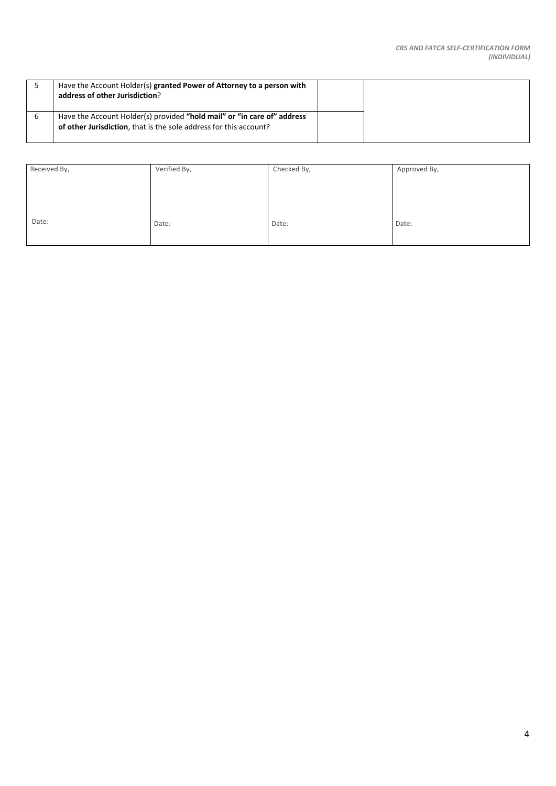| Have the Account Holder(s) granted Power of Attorney to a person with<br>address of other Jurisdiction?                                      |  |
|----------------------------------------------------------------------------------------------------------------------------------------------|--|
| Have the Account Holder(s) provided "hold mail" or "in care of" address<br>of other Jurisdiction, that is the sole address for this account? |  |

| Received By, | Verified By, | Checked By, | Approved By, |
|--------------|--------------|-------------|--------------|
|              |              |             |              |
|              |              |             |              |
|              |              |             |              |
| Date:        | Date:        | Date:       | Date:        |
|              |              |             |              |